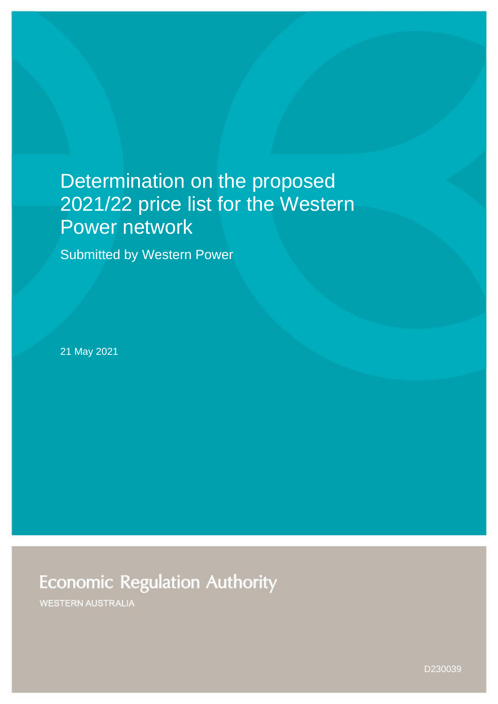# Determination on the proposed 2021/22 price list for the Western Power network

Submitted by Western Power

21 May 2021

**Economic Regulation Authority** 

**WESTERN AUSTRALIA** 

D230039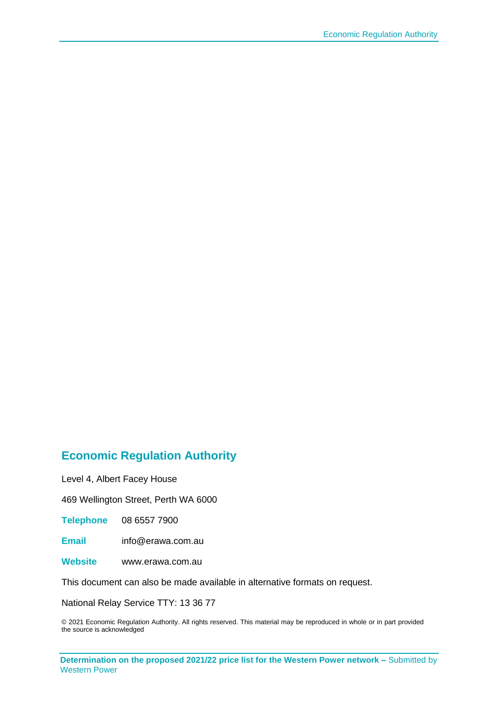#### **Economic Regulation Authority**

Level 4, Albert Facey House

469 Wellington Street, Perth WA 6000

**Telephone** 08 6557 7900

**Email** info@erawa.com.au

**Website** www.erawa.com.au

This document can also be made available in alternative formats on request.

National Relay Service TTY: 13 36 77

© 2021 Economic Regulation Authority. All rights reserved. This material may be reproduced in whole or in part provided the source is acknowledged

**Determination on the proposed 2021/22 price list for the Western Power network –** Submitted by Western Power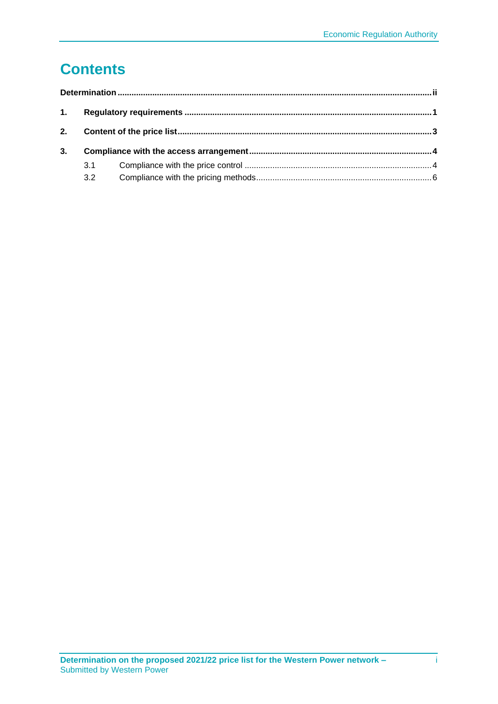# **Contents**

| 2. |     |  |  |  |  |  |
|----|-----|--|--|--|--|--|
| 3. |     |  |  |  |  |  |
|    | 3.1 |  |  |  |  |  |
|    | 3.2 |  |  |  |  |  |
|    |     |  |  |  |  |  |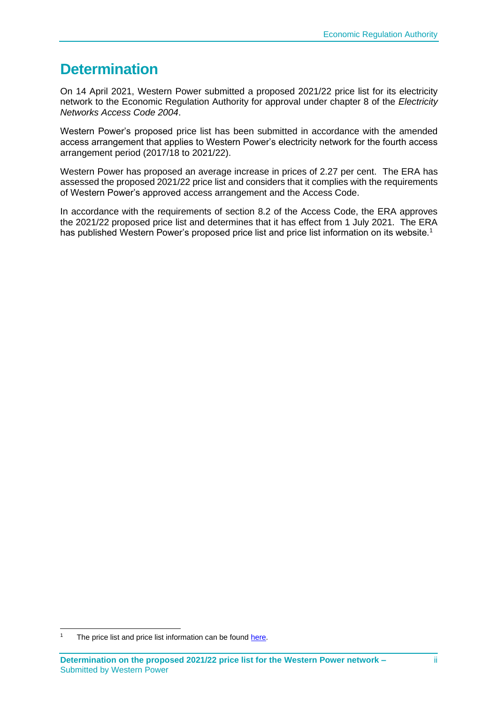#### <span id="page-3-0"></span>**Determination**

On 14 April 2021, Western Power submitted a proposed 2021/22 price list for its electricity network to the Economic Regulation Authority for approval under chapter 8 of the *Electricity Networks Access Code 2004*.

Western Power's proposed price list has been submitted in accordance with the amended access arrangement that applies to Western Power's electricity network for the fourth access arrangement period (2017/18 to 2021/22).

Western Power has proposed an average increase in prices of 2.27 per cent. The ERA has assessed the proposed 2021/22 price list and considers that it complies with the requirements of Western Power's approved access arrangement and the Access Code.

In accordance with the requirements of section 8.2 of the Access Code, the ERA approves the 2021/22 proposed price list and determines that it has effect from 1 July 2021. The ERA has published Western Power's proposed price list and price list information on its website.<sup>1</sup>

The price list and price list information can be found [here.](https://www.erawa.com.au/electricity/electricity-access/western-power-network/annual-price-lists-for-network-charges)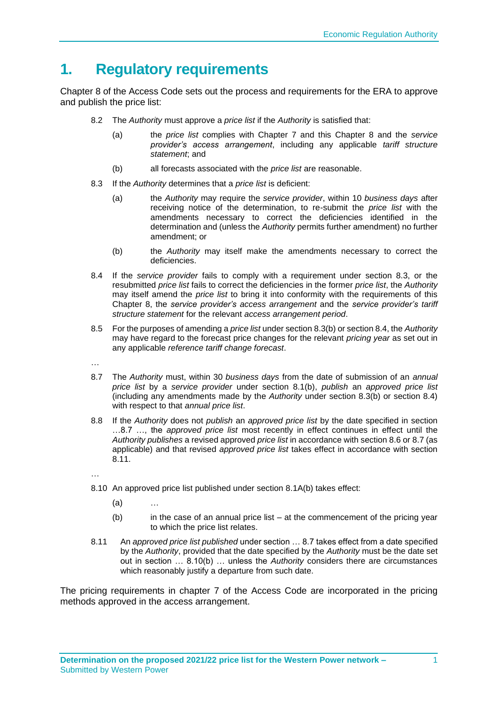# <span id="page-4-0"></span>**1. Regulatory requirements**

Chapter 8 of the Access Code sets out the process and requirements for the ERA to approve and publish the price list:

- 8.2 The *Authority* must approve a *price list* if the *Authority* is satisfied that:
	- (a) the *price list* complies with Chapter 7 and this Chapter 8 and the *service provider's access arrangement*, including any applicable *tariff structure statement*; and
	- (b) all forecasts associated with the *price list* are reasonable.
- 8.3 If the *Authority* determines that a *price list* is deficient:
	- (a) the *Authority* may require the *service provider*, within 10 *business days* after receiving notice of the determination, to re-submit the *price list* with the amendments necessary to correct the deficiencies identified in the determination and (unless the *Authority* permits further amendment) no further amendment; or
	- (b) the *Authority* may itself make the amendments necessary to correct the deficiencies.
- 8.4 If the *service provider* fails to comply with a requirement under section 8.3, or the resubmitted *price list* fails to correct the deficiencies in the former *price list*, the *Authority* may itself amend the *price list* to bring it into conformity with the requirements of this Chapter 8, the *service provider's access arrangement* and the *service provider's tariff structure statement* for the relevant *access arrangement period*.
- 8.5 For the purposes of amending a *price list* under section 8.3(b) or section 8.4, the *Authority* may have regard to the forecast price changes for the relevant *pricing year* as set out in any applicable *reference tariff change forecast*.
- …
- 8.7 The *Authority* must, within 30 *business days* from the date of submission of an *annual price list* by a *service provider* under section 8.1(b), *publish* an *approved price list* (including any amendments made by the *Authority* under section 8.3(b) or section 8.4) with respect to that *annual price list*.
- 8.8 If the *Authority* does not *publish* an *approved price list* by the date specified in section …8.7 …, the *approved price list* most recently in effect continues in effect until the *Authority publishes* a revised approved *price list* in accordance with section 8.6 or 8.7 (as applicable) and that revised *approved price list* takes effect in accordance with section 8.11.

…

- 8.10 An approved price list published under section 8.1A(b) takes effect:
	- $(a)$
	- (b) in the case of an annual price list at the commencement of the pricing year to which the price list relates.
- 8.11 An *approved price list published* under section … 8.7 takes effect from a date specified by the *Authority*, provided that the date specified by the *Authority* must be the date set out in section … 8.10(b) … unless the *Authority* considers there are circumstances which reasonably justify a departure from such date.

The pricing requirements in chapter 7 of the Access Code are incorporated in the pricing methods approved in the access arrangement.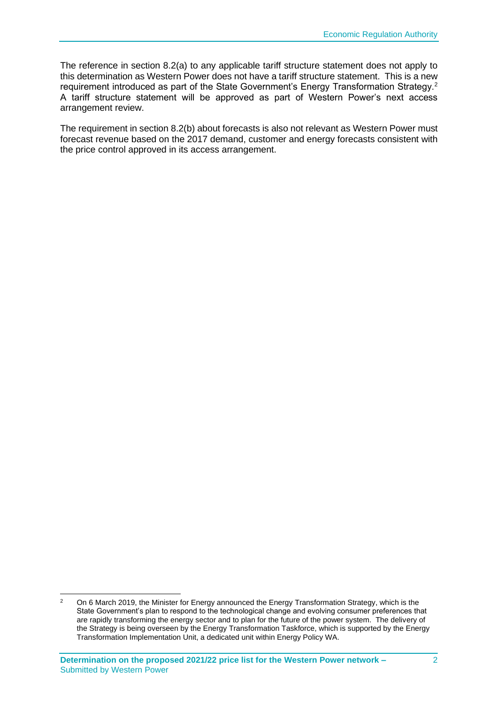The reference in section 8.2(a) to any applicable tariff structure statement does not apply to this determination as Western Power does not have a tariff structure statement. This is a new requirement introduced as part of the State Government's Energy Transformation Strategy.<sup>2</sup> A tariff structure statement will be approved as part of Western Power's next access arrangement review.

The requirement in section 8.2(b) about forecasts is also not relevant as Western Power must forecast revenue based on the 2017 demand, customer and energy forecasts consistent with the price control approved in its access arrangement.

<sup>&</sup>lt;sup>2</sup> On 6 March 2019, the Minister for Energy announced the Energy Transformation Strategy, which is the State Government's plan to respond to the technological change and evolving consumer preferences that are rapidly transforming the energy sector and to plan for the future of the power system. The delivery of the Strategy is being overseen by the Energy Transformation Taskforce, which is supported by the Energy Transformation Implementation Unit, a dedicated unit within Energy Policy WA.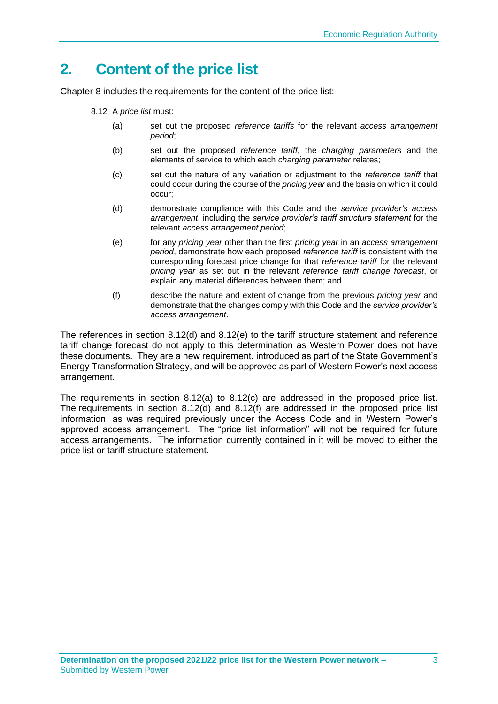## <span id="page-6-0"></span>**2. Content of the price list**

Chapter 8 includes the requirements for the content of the price list:

- 8.12 A *price list* must:
	- (a) set out the proposed *reference tariffs* for the relevant *access arrangement period*;
	- (b) set out the proposed *reference tariff*, the *charging parameters* and the elements of service to which each *charging parameter* relates;
	- (c) set out the nature of any variation or adjustment to the *reference tariff* that could occur during the course of the *pricing year* and the basis on which it could occur;
	- (d) demonstrate compliance with this Code and the *service provider's access arrangement*, including the *service provider's tariff structure statement* for the relevant *access arrangement period*;
	- (e) for any *pricing year* other than the first *pricing year* in an *access arrangement period*, demonstrate how each proposed *reference tariff* is consistent with the corresponding forecast price change for that *reference tariff* for the relevant *pricing year* as set out in the relevant *reference tariff change forecast*, or explain any material differences between them; and
	- (f) describe the nature and extent of change from the previous *pricing year* and demonstrate that the changes comply with this Code and the *service provider's access arrangement*.

The references in section 8.12(d) and 8.12(e) to the tariff structure statement and reference tariff change forecast do not apply to this determination as Western Power does not have these documents. They are a new requirement, introduced as part of the State Government's Energy Transformation Strategy, and will be approved as part of Western Power's next access arrangement.

The requirements in section 8.12(a) to 8.12(c) are addressed in the proposed price list. The requirements in section  $8.12(d)$  and  $8.12(f)$  are addressed in the proposed price list information, as was required previously under the Access Code and in Western Power's approved access arrangement. The "price list information" will not be required for future access arrangements. The information currently contained in it will be moved to either the price list or tariff structure statement.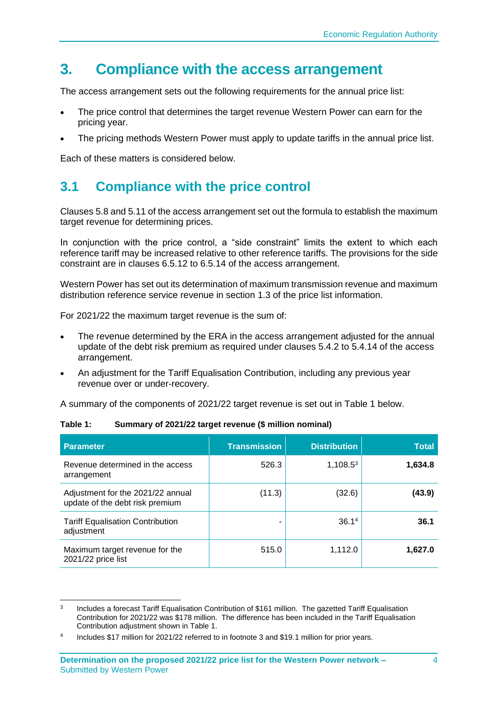### <span id="page-7-0"></span>**3. Compliance with the access arrangement**

The access arrangement sets out the following requirements for the annual price list:

- The price control that determines the target revenue Western Power can earn for the pricing year.
- The pricing methods Western Power must apply to update tariffs in the annual price list.

Each of these matters is considered below.

#### <span id="page-7-1"></span>**3.1 Compliance with the price control**

Clauses 5.8 and 5.11 of the access arrangement set out the formula to establish the maximum target revenue for determining prices.

In conjunction with the price control, a "side constraint" limits the extent to which each reference tariff may be increased relative to other reference tariffs. The provisions for the side constraint are in clauses 6.5.12 to 6.5.14 of the access arrangement.

Western Power has set out its determination of maximum transmission revenue and maximum distribution reference service revenue in section 1.3 of the price list information.

For 2021/22 the maximum target revenue is the sum of:

- The revenue determined by the ERA in the access arrangement adjusted for the annual update of the debt risk premium as required under clauses 5.4.2 to 5.4.14 of the access arrangement.
- An adjustment for the Tariff Equalisation Contribution, including any previous year revenue over or under-recovery.

A summary of the components of 2021/22 target revenue is set out in Table 1 below.

| <b>Parameter</b>                                                     | <b>Transmission</b> | <b>Distribution</b> | <b>Total</b> |
|----------------------------------------------------------------------|---------------------|---------------------|--------------|
| Revenue determined in the access<br>arrangement                      | 526.3               | $1,108.5^3$         | 1,634.8      |
| Adjustment for the 2021/22 annual<br>update of the debt risk premium | (11.3)              | (32.6)              | (43.9)       |
| <b>Tariff Equalisation Contribution</b><br>adjustment                |                     | 36.1 <sup>4</sup>   | 36.1         |
| Maximum target revenue for the<br>2021/22 price list                 | 515.0               | 1,112.0             | 1,627.0      |

#### **Table 1: Summary of 2021/22 target revenue (\$ million nominal)**

<sup>3</sup> Includes a forecast Tariff Equalisation Contribution of \$161 million. The gazetted Tariff Equalisation Contribution for 2021/22 was \$178 million. The difference has been included in the Tariff Equalisation Contribution adjustment shown in Table 1.

<sup>4</sup> Includes \$17 million for 2021/22 referred to in footnote 3 and \$19.1 million for prior years.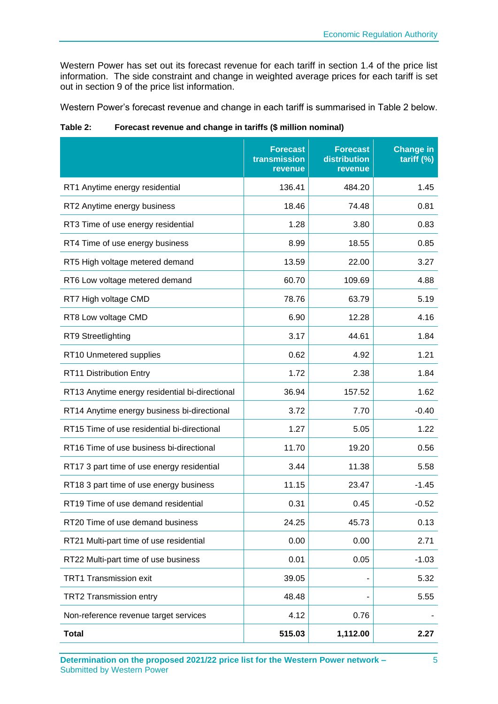Western Power has set out its forecast revenue for each tariff in section 1.4 of the price list information. The side constraint and change in weighted average prices for each tariff is set out in section 9 of the price list information.

Western Power's forecast revenue and change in each tariff is summarised in Table 2 below.

**Table 2: Forecast revenue and change in tariffs (\$ million nominal)**

|                                                | <b>Forecast</b><br>transmission<br>revenue | <b>Forecast</b><br>distribution<br>revenue | <b>Change in</b><br>tariff (%) |
|------------------------------------------------|--------------------------------------------|--------------------------------------------|--------------------------------|
| RT1 Anytime energy residential                 | 136.41                                     | 484.20                                     | 1.45                           |
| RT2 Anytime energy business                    | 18.46                                      | 74.48                                      | 0.81                           |
| RT3 Time of use energy residential             | 1.28                                       | 3.80                                       | 0.83                           |
| RT4 Time of use energy business                | 8.99                                       | 18.55                                      | 0.85                           |
| RT5 High voltage metered demand                | 13.59                                      | 22.00                                      | 3.27                           |
| RT6 Low voltage metered demand                 | 60.70                                      | 109.69                                     | 4.88                           |
| RT7 High voltage CMD                           | 78.76                                      | 63.79                                      | 5.19                           |
| RT8 Low voltage CMD                            | 6.90                                       | 12.28                                      | 4.16                           |
| RT9 Streetlighting                             | 3.17                                       | 44.61                                      | 1.84                           |
| RT10 Unmetered supplies                        | 0.62                                       | 4.92                                       | 1.21                           |
| RT11 Distribution Entry                        | 1.72                                       | 2.38                                       | 1.84                           |
| RT13 Anytime energy residential bi-directional | 36.94                                      | 157.52                                     | 1.62                           |
| RT14 Anytime energy business bi-directional    | 3.72                                       | 7.70                                       | $-0.40$                        |
| RT15 Time of use residential bi-directional    | 1.27                                       | 5.05                                       | 1.22                           |
| RT16 Time of use business bi-directional       | 11.70                                      | 19.20                                      | 0.56                           |
| RT17 3 part time of use energy residential     | 3.44                                       | 11.38                                      | 5.58                           |
| RT18 3 part time of use energy business        | 11.15                                      | 23.47                                      | $-1.45$                        |
| RT19 Time of use demand residential            | 0.31                                       | 0.45                                       | $-0.52$                        |
| RT20 Time of use demand business               | 24.25                                      | 45.73                                      | 0.13                           |
| RT21 Multi-part time of use residential        | 0.00                                       | 0.00                                       | 2.71                           |
| RT22 Multi-part time of use business           | 0.01                                       | 0.05                                       | $-1.03$                        |
| <b>TRT1 Transmission exit</b>                  | 39.05                                      |                                            | 5.32                           |
| TRT2 Transmission entry                        | 48.48                                      |                                            | 5.55                           |
| Non-reference revenue target services          | 4.12                                       | 0.76                                       |                                |
| <b>Total</b>                                   | 515.03                                     | 1,112.00                                   | 2.27                           |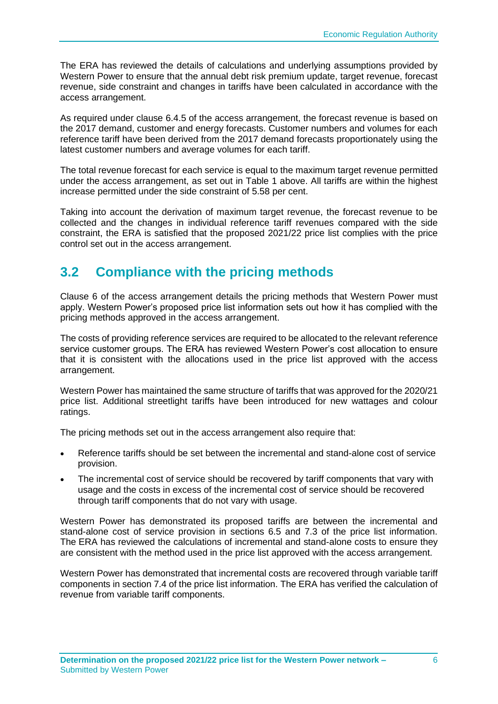The ERA has reviewed the details of calculations and underlying assumptions provided by Western Power to ensure that the annual debt risk premium update, target revenue, forecast revenue, side constraint and changes in tariffs have been calculated in accordance with the access arrangement.

As required under clause 6.4.5 of the access arrangement, the forecast revenue is based on the 2017 demand, customer and energy forecasts. Customer numbers and volumes for each reference tariff have been derived from the 2017 demand forecasts proportionately using the latest customer numbers and average volumes for each tariff.

The total revenue forecast for each service is equal to the maximum target revenue permitted under the access arrangement, as set out in Table 1 above. All tariffs are within the highest increase permitted under the side constraint of 5.58 per cent.

Taking into account the derivation of maximum target revenue, the forecast revenue to be collected and the changes in individual reference tariff revenues compared with the side constraint, the ERA is satisfied that the proposed 2021/22 price list complies with the price control set out in the access arrangement.

#### <span id="page-9-0"></span>**3.2 Compliance with the pricing methods**

Clause 6 of the access arrangement details the pricing methods that Western Power must apply. Western Power's proposed price list information sets out how it has complied with the pricing methods approved in the access arrangement.

The costs of providing reference services are required to be allocated to the relevant reference service customer groups. The ERA has reviewed Western Power's cost allocation to ensure that it is consistent with the allocations used in the price list approved with the access arrangement.

Western Power has maintained the same structure of tariffs that was approved for the 2020/21 price list. Additional streetlight tariffs have been introduced for new wattages and colour ratings.

The pricing methods set out in the access arrangement also require that:

- Reference tariffs should be set between the incremental and stand-alone cost of service provision.
- The incremental cost of service should be recovered by tariff components that vary with usage and the costs in excess of the incremental cost of service should be recovered through tariff components that do not vary with usage.

Western Power has demonstrated its proposed tariffs are between the incremental and stand-alone cost of service provision in sections 6.5 and 7.3 of the price list information. The ERA has reviewed the calculations of incremental and stand-alone costs to ensure they are consistent with the method used in the price list approved with the access arrangement.

Western Power has demonstrated that incremental costs are recovered through variable tariff components in section 7.4 of the price list information. The ERA has verified the calculation of revenue from variable tariff components.